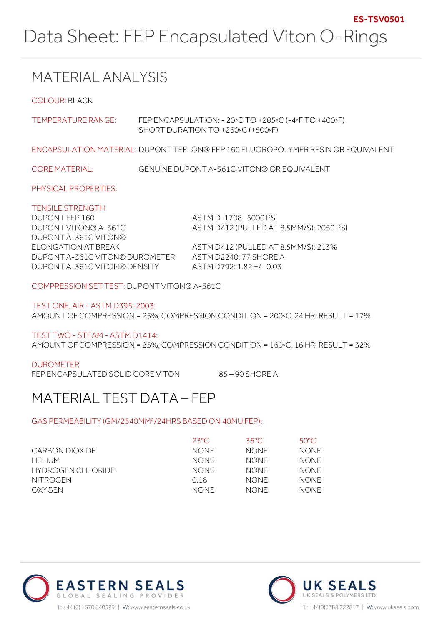# MATERIAL ANALYSIS

COLOUR: BLACK

| TEMPERATURE RANGE:                                                                        | FEP ENCAPSULATION: $-20\degree$ C TO $+205\degree$ C ( $-4\degree$ F TO $+400\degree$ F)<br>SHORT DURATION TO +260°C (+500°F) |
|-------------------------------------------------------------------------------------------|-------------------------------------------------------------------------------------------------------------------------------|
|                                                                                           | ENCAPSULATION MATERIAL: DUPONT TEFLON® FEP 160 FLUOROPOLYMER RESIN OR EQUIVALENT                                              |
| <b>CORE MATERIAL:</b>                                                                     | <b>GENUINE DUPONT A-361C VITON® OR EQUIVALENT</b>                                                                             |
| PHYSICAL PROPERTIES:                                                                      |                                                                                                                               |
| <b>TENSILE STRENGTH</b><br>DUPONT FEP 160<br>DUPONT VITON® A-361C<br>DUPONT A-361C VITON® | ASTM D-1708: 5000 PSI<br>ASTM D412 (PULLED AT 8.5MM/S): 2050 PSI                                                              |
| ELONGATION AT BREAK<br>DUPONT A-361C VITON® DUROMETER<br>DUPONT A-361C VITON® DENSITY     | ASTM D412 (PULLED AT 8.5MM/S): 213%<br>ASTM D2240: 77 SHORE A<br>ASTM D792: 1.82 +/- 0.03                                     |

COMPRESSION SET TEST: DUPONT VITON® A-361C

TEST ONE, AIR - ASTM D395-2003: AMOUNT OF COMPRESSION = 25%, COMPRESSION CONDITION = 200◦C, 24 HR: RESULT = 17%

TEST TWO - STEAM - ASTM D1414:

AMOUNT OF COMPRESSION = 25%, COMPRESSION CONDITION = 160◦C, 16 HR: RESULT = 32%

### DUROMETER

FEP ENCAPSULATED SOLID CORE VITON 85 - 90 SHORE A

## MATERIAL TEST DATA – FEP

### GAS PERMEABILITY (GM/2540MM²/24HRS BASED ON 40MU FEP):

|                   | $23^{\circ}$ C | 35°C.       | 50°C.       |
|-------------------|----------------|-------------|-------------|
| CARBON DIOXIDE    | NONF.          | <b>NONE</b> | <b>NONE</b> |
| HFI IUM           | NONF.          | <b>NONE</b> | <b>NONE</b> |
| HYDROGEN CHLORIDE | NONF.          | <b>NONE</b> | <b>NONE</b> |
| NITROGEN          | O 18           | <b>NONE</b> | <b>NONE</b> |
| OXYGEN            | <b>NONF</b>    | <b>NONE</b> | <b>NONE</b> |



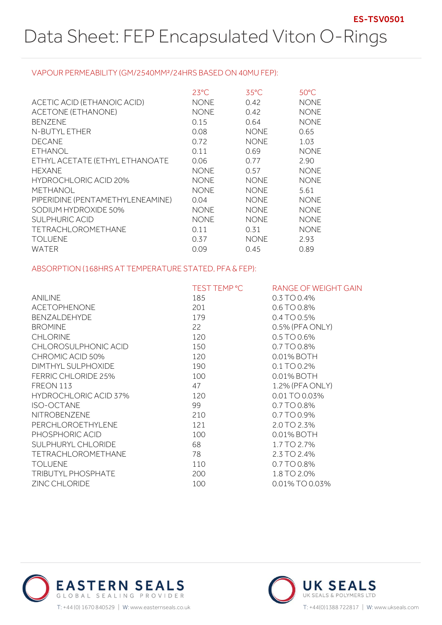#### VAPOUR PERMEABILITY (GM/2540MM²/24HRS BASED ON 40MU FEP):

|                                  | $23^{\circ}$ C | $35^{\circ}$ C | $50^{\circ}$ C |
|----------------------------------|----------------|----------------|----------------|
| ACETIC ACID (ETHANOIC ACID)      | <b>NONE</b>    | 0.42           | <b>NONE</b>    |
| ACETONE (ETHANONE)               | <b>NONE</b>    | 0.42           | <b>NONE</b>    |
| <b>BENZENE</b>                   | 0.15           | 0.64           | <b>NONE</b>    |
| N-BUTYL ETHER                    | 0.08           | <b>NONE</b>    | 0.65           |
| <b>DECANE</b>                    | 0.72           | <b>NONE</b>    | 1.03           |
| <b>ETHANOL</b>                   | 0.11           | 0.69           | <b>NONE</b>    |
| ETHYL ACETATE (ETHYL ETHANOATE   | 0.06           | 0.77           | 2.90           |
| <b>HEXANE</b>                    | <b>NONE</b>    | 0.57           | <b>NONE</b>    |
| <b>HYDROCHLORIC ACID 20%</b>     | <b>NONE</b>    | <b>NONE</b>    | <b>NONE</b>    |
| <b>METHANOL</b>                  | <b>NONE</b>    | <b>NONE</b>    | 5.61           |
| PIPERIDINE (PENTAMETHYLENEAMINE) | 0.04           | <b>NONE</b>    | <b>NONE</b>    |
| SODIUM HYDROXIDE 50%             | <b>NONE</b>    | <b>NONE</b>    | <b>NONE</b>    |
| <b>SULPHURIC ACID</b>            | <b>NONE</b>    | <b>NONE</b>    | <b>NONE</b>    |
| <b>TETRACHLOROMETHANE</b>        | 0.11           | 0.31           | <b>NONE</b>    |
| <b>TOLUENE</b>                   | 0.37           | <b>NONE</b>    | 2.93           |
| WATER                            | 0.09           | 0.45           | 0.89           |

### ABSORPTION (168HRS AT TEMPERATURE STATED, PFA & FEP):

|                              | TEST TEMP °C | RANGE OF WEIGHT GAIN |
|------------------------------|--------------|----------------------|
| <b>ANILINE</b>               | 185          | 0.3 TO 0.4%          |
| <b>ACETOPHENONE</b>          | 201          | $0.6$ TO 0.8%        |
| BENZALDEHYDE                 | 179          | $0.4$ TO 0.5%        |
| <b>BROMINE</b>               | 22           | 0.5% (PFA ONLY)      |
| <b>CHLORINE</b>              | 120          | $0.5$ TO 0.6%        |
| CHLOROSULPHONIC ACID         | 150          | 0.7 TO 0.8%          |
| CHROMIC ACID 50%             | 120          | 0.01% BOTH           |
| DIMTHYL SULPHOXIDE           | 190          | 0.1 TO 0.2%          |
| <b>FERRIC CHLORIDE 25%</b>   | 100          | 0.01% BOTH           |
| FREON 113                    | 47           | 1.2% (PFA ONLY)      |
| <b>HYDROCHLORIC ACID 37%</b> | 120          | 0.01 TO 0.03%        |
| ISO-OCTANE                   | 99           | 0.7 TO 0.8%          |
| NITROBENZENE                 | 210          | 0.7 TO 0.9%          |
| PERCHLOROETHYLENE            | 121          | 2.0 TO 2.3%          |
| PHOSPHORIC ACID              | 100          | 0.01% BOTH           |
| SULPHURYL CHLORIDE           | 68           | 1.7 TO 2.7%          |
| <b>TETRACHLOROMETHANE</b>    | 78           | 2.3 TO 2.4%          |
| <b>TOLUENE</b>               | 110          | 0.7 TO 0.8%          |
| TRIBUTYL PHOSPHATE           | 200          | 1.8 TO 2.0%          |
| <b>ZINC CHLORIDE</b>         | 100          | 0.01% TO 0.03%       |



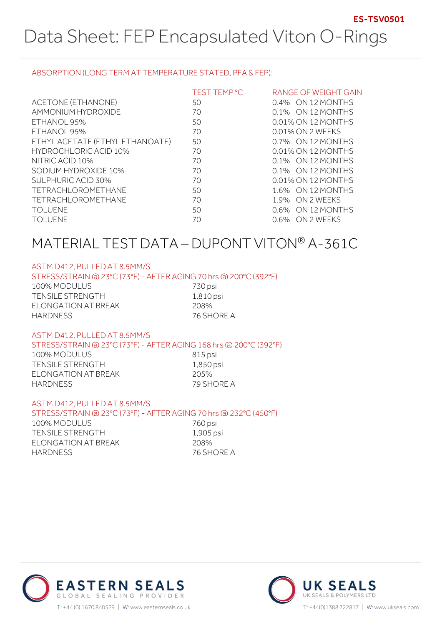### ABSORPTION (LONG TERM AT TEMPERATURE STATED, PFA & FEP):

|                                 | TEST TEMP °C | RANGE OF WEIGHT GAIN |
|---------------------------------|--------------|----------------------|
| ACETONE (ETHANONE)              | 50           | 0.4% ON 12 MONTHS    |
| AMMONIUM HYDROXIDE              | 70           | 0.1% ON 12 MONTHS    |
| ETHANOL 95%                     | 50           | 0.01% ON 12 MONTHS   |
| ETHANOL 95%                     | 70           | 0.01% ON 2 WEEKS     |
| ETHYL ACETATE (ETHYL ETHANOATE) | 50           | 0.7% ON 12 MONTHS    |
| HYDROCHLORIC ACID 10%           | 70           | 0.01% ON 12 MONTHS   |
| NITRIC ACID 10%                 | 70           | 0.1% ON 12 MONTHS    |
| SODIUM HYDROXIDE 10%            | 70           | 0.1% ON 12 MONTHS    |
| <b>SULPHURIC ACID 30%</b>       | 70           | 0.01% ON 12 MONTHS   |
| <b>TETRACHLOROMETHANE</b>       | 50           | 1.6% ON 12 MONTHS    |
| <b>TETRACHLOROMETHANE</b>       | 70           | 1.9% ON 2 WEEKS      |
| <b>TOLUENE</b>                  | 50           | 0.6% ON 12 MONTHS    |
| <b>TOLUENE</b>                  | 70           | 0.6% ON 2 WEEKS      |

## MATERIAL TEST DATA – DUPONT VITON® A-361C

#### ASTM D412, PULLED AT 8.5MM/S

#### STRESS/STRAIN @ 23°C (73°F) - AFTER AGING 70 hrs @ 200°C (392°F)

| 100% MODULUS        | 730 psi    |
|---------------------|------------|
| TENSILE STRENGTH    | 1,810 psi  |
| ELONGATION AT BREAK | 208%       |
| HARDNESS            | 76 SHORE A |

#### ASTM D412, PULLED AT 8.5MM/S

#### STRESS/STRAIN @ 23°C (73°F) - AFTER AGING 168 hrs @ 200°C (392°F)

100% MODULUS 815 psi TENSILE STRENGTH 1,850 psi ELONGATION AT BREAK 205% HARDNESS 79 SHORE A

#### ASTM D412, PULLED AT 8.5MM/S

#### STRESS/STRAIN @ 23°C (73°F) - AFTER AGING 70 hrs @ 232°C (450°F)

100% MODULUS 760 psi TENSILE STRENGTH 1,905 psi ELONGATION AT BREAK 208% HARDNESS 76 SHORE A



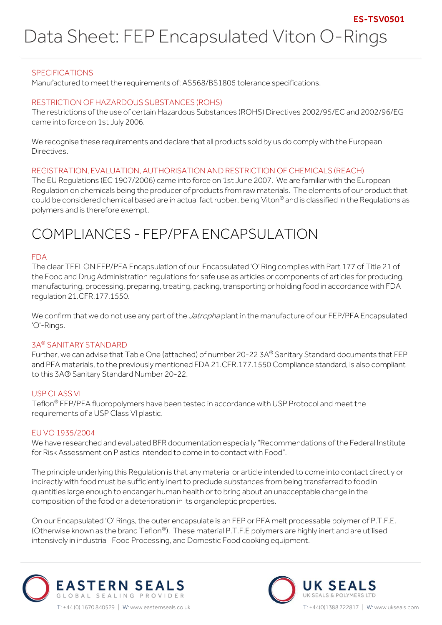### SPECIFICATIONS

Manufactured to meet the requirements of; AS568/BS1806 tolerance specifications.

#### RESTRICTION OF HAZARDOUS SUBSTANCES (ROHS)

The restrictions of the use of certain Hazardous Substances (ROHS) Directives 2002/95/EC and 2002/96/EG came into force on 1st July 2006.

We recognise these requirements and declare that all products sold by us do comply with the European Directives.

#### REGISTRATION, EVALUATION, AUTHORISATION AND RESTRICTION OF CHEMICALS (REACH)

The EU Regulations (EC 1907/2006) came into force on 1st June 2007. We are familiar with the European Regulation on chemicals being the producer of products from raw materials. The elements of our product that could be considered chemical based are in actual fact rubber, being Viton® and is classified in the Regulations as polymers and is therefore exempt.

## COMPLIANCES - FEP/PFA ENCAPSULATION

#### FDA

The clear TEFLON FEP/PFA Encapsulation of our Encapsulated 'O' Ring complies with Part 177 of Title 21 of the Food and Drug Administration regulations for safe use as articles or components of articles for producing, manufacturing, processing, preparing, treating, packing, transporting or holding food in accordance with FDA regulation 21.CFR.177.1550.

We confirm that we do not use any part of the *Jatropha* plant in the manufacture of our FEP/PFA Encapsulated 'O'-Rings.

#### 3A® SANITARY STANDARD

Further, we can advise that Table One (attached) of number 20-22 3A® Sanitary Standard documents that FEP and PFA materials, to the previously mentioned FDA 21.CFR.177.1550 Compliance standard, is also compliant to this 3A® Sanitary Standard Number 20-22.

#### USP CLASS VI

Teflon® FEP/PFA fluoropolymers have been tested in accordance with USP Protocol and meet the requirements of a USP Class VI plastic.

#### EU VO 1935/2004

We have researched and evaluated BFR documentation especially "Recommendations of the Federal Institute for Risk Assessment on Plastics intended to come in to contact with Food".

The principle underlying this Regulation is that any material or article intended to come into contact directly or indirectly with food must be sufficiently inert to preclude substances from being transferred to food in quantities large enough to endanger human health or to bring about an unacceptable change in the composition of the food or a deterioration in its organoleptic properties.

On our Encapsulated 'O' Rings, the outer encapsulate is an FEP or PFA melt processable polymer of P.T.F.E. (Otherwise known as the brand Teflon®). These material P.T.F.E polymers are highly inert and are utilised intensively in industrial Food Processing, and Domestic Food cooking equipment.